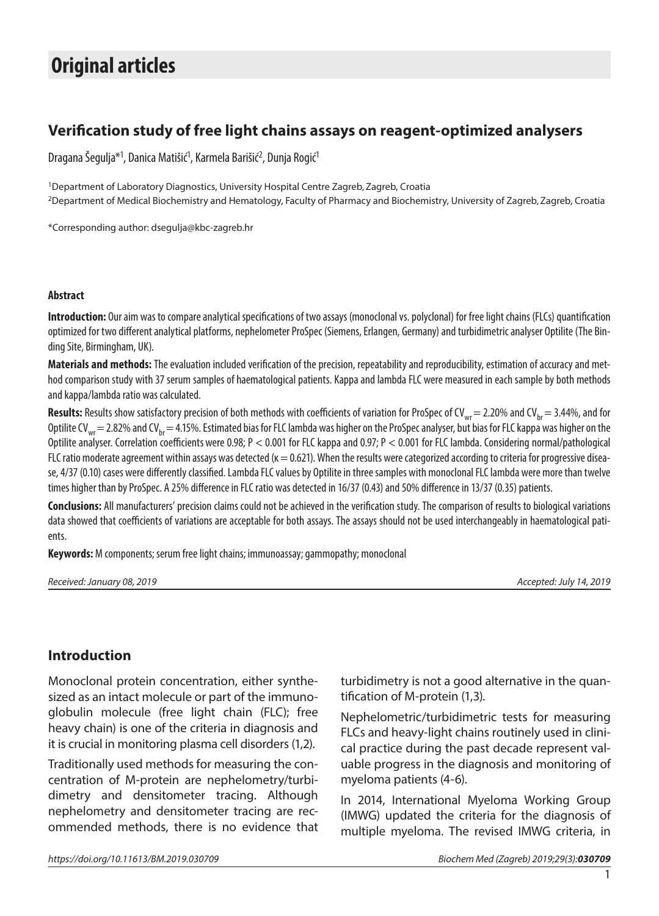# **Original articles**

## **Verification study of free light chains assays on reagent-optimized analysers**

Dragana Šegulja\*<sup>1</sup>, Danica Matišić<sup>1</sup>, Karmela Barišić<sup>2</sup>, Dunja Rogić<sup>1</sup>

<sup>1</sup>Department of Laboratory Diagnostics, University Hospital Centre Zagreb, Zagreb, Croatia 2Department of Medical Biochemistry and Hematology, Faculty of Pharmacy and Biochemistry, University of Zagreb, Zagreb, Croatia

\*Corresponding author: [dsegulja@kbc-zagreb.hr](mailto:dsegulja@kbc-zagreb.hr)

#### **Abstract**

**Introduction:** Our aim was to compare analytical specifications of two assays (monoclonal vs. polyclonal) for free light chains (FLCs) quantification optimized for two different analytical platforms, nephelometer ProSpec (Siemens, Erlangen, Germany) and turbidimetric analyser Optilite (The Binding Site, Birmingham, UK).

**Materials and methods:** The evaluation included verification of the precision, repeatability and reproducibility, estimation of accuracy and method comparison study with 37 serum samples of haematological patients. Kappa and lambda FLC were measured in each sample by both methods and kappa/lambda ratio was calculated.

Results: Results show satisfactory precision of both methods with coefficients of variation for ProSpec of CV<sub>wr</sub> = 2.20% and CV<sub>br</sub> = 3.44%, and for Optilite CV<sub>wr</sub> = 2.82% and CV<sub>br</sub> = 4.15%. Estimated bias for FLC lambda was higher on the ProSpec analyser, but bias for FLC kappa was higher on the Optilite analyser. Correlation coefficientswere 0.98; P < 0.001 for FLC kappa and 0.97; P < 0.001 for FLC lambda. Considering normal/pathological FLC ratio moderate agreement within assays was detected ( $k = 0.621$ ). When the results were categorized according to criteria for progressive disease, 4/37 (0.10) cases were differently classified. Lambda FLC values by Optilite in three samples with monoclonal FLC lambda were more than twelve times higher than by ProSpec. A 25% difference in FLC ratio was detected in 16/37 (0.43) and 50% difference in 13/37 (0.35) patients.

**Conclusions:** All manufacturers' precision claims could not be achieved in the verification study. The comparison of results to biological variations data showed that coefficients of variations are acceptable for both assays. The assays should not be used interchangeably in haematological patients.

**Keywords:** M components; serum free light chains; immunoassay; gammopathy; monoclonal

| Received: January 08, 2019 |  |  |  |
|----------------------------|--|--|--|
|----------------------------|--|--|--|

*Received: January 08, 2019 Accepted: July 14, 2019*

### **Introduction**

Monoclonal protein concentration, either synthesized as an intact molecule or part of the immunoglobulin molecule (free light chain (FLC); free heavy chain) is one of the criteria in diagnosis and it is crucial in monitoring plasma cell disorders (1,2).

Traditionally used methods for measuring the concentration of M-protein are nephelometry/turbidimetry and densitometer tracing. Although nephelometry and densitometer tracing are recommended methods, there is no evidence that turbidimetry is not a good alternative in the quantification of M-protein (1,3).

Nephelometric/turbidimetric tests for measuring FLCs and heavy-light chains routinely used in clinical practice during the past decade represent valuable progress in the diagnosis and monitoring of myeloma patients (4-6).

In 2014, International Myeloma Working Group (IMWG) updated the criteria for the diagnosis of multiple myeloma. The revised IMWG criteria, in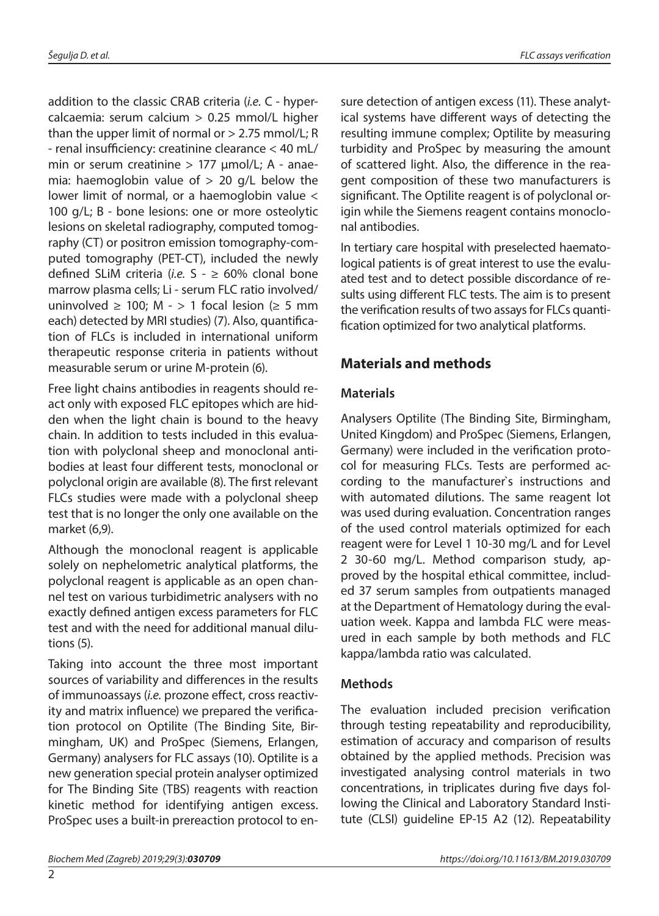addition to the classic CRAB criteria (*i.e.* C - hypercalcaemia: serum calcium > 0.25 mmol/L higher than the upper limit of normal or  $> 2.75$  mmol/L; R - renal insufficiency: creatinine clearance < 40 mL/ min or serum creatinine  $> 177$   $\mu$ mol/L; A - anaemia: haemoglobin value of  $> 20$  g/L below the lower limit of normal, or a haemoglobin value < 100 g/L; B - bone lesions: one or more osteolytic lesions on skeletal radiography, computed tomography (CT) or positron emission tomography-computed tomography (PET-CT), included the newly defined SLiM criteria (*i.e.* S - ≥ 60% clonal bone marrow plasma cells; Li - serum FLC ratio involved/ uninvolved ≥ 100; M - > 1 focal lesion (≥ 5 mm each) detected by MRI studies) (7). Also, quantification of FLCs is included in international uniform therapeutic response criteria in patients without measurable serum or urine M-protein (6).

Free light chains antibodies in reagents should react only with exposed FLC epitopes which are hidden when the light chain is bound to the heavy chain. In addition to tests included in this evaluation with polyclonal sheep and monoclonal antibodies at least four different tests, monoclonal or polyclonal origin are available (8). The first relevant FLCs studies were made with a polyclonal sheep test that is no longer the only one available on the market (6,9).

Although the monoclonal reagent is applicable solely on nephelometric analytical platforms, the polyclonal reagent is applicable as an open channel test on various turbidimetric analysers with no exactly defined antigen excess parameters for FLC test and with the need for additional manual dilutions (5).

Taking into account the three most important sources of variability and differences in the results of immunoassays (*i.e.* prozone effect, cross reactivity and matrix influence) we prepared the verification protocol on Optilite (The Binding Site, Birmingham, UK) and ProSpec (Siemens, Erlangen, Germany) analysers for FLC assays (10). Optilite is a new generation special protein analyser optimized for The Binding Site (TBS) reagents with reaction kinetic method for identifying antigen excess. ProSpec uses a built-in prereaction protocol to en-

 $\overline{2}$ 

sure detection of antigen excess (11). These analytical systems have different ways of detecting the resulting immune complex; Optilite by measuring turbidity and ProSpec by measuring the amount of scattered light. Also, the difference in the reagent composition of these two manufacturers is significant. The Optilite reagent is of polyclonal origin while the Siemens reagent contains monoclonal antibodies.

In tertiary care hospital with preselected haematological patients is of great interest to use the evaluated test and to detect possible discordance of results using different FLC tests. The aim is to present the verification results of two assays for FLCs quantification optimized for two analytical platforms.

## **Materials and methods**

### **Materials**

Analysers Optilite (The Binding Site, Birmingham, United Kingdom) and ProSpec (Siemens, Erlangen, Germany) were included in the verification protocol for measuring FLCs. Tests are performed according to the manufacturer`s instructions and with automated dilutions. The same reagent lot was used during evaluation. Concentration ranges of the used control materials optimized for each reagent were for Level 1 10-30 mg/L and for Level 2 30-60 mg/L. Method comparison study, approved by the hospital ethical committee, included 37 serum samples from outpatients managed at the Department of Hematology during the evaluation week. Kappa and lambda FLC were measured in each sample by both methods and FLC kappa/lambda ratio was calculated.

### **Methods**

The evaluation included precision verification through testing repeatability and reproducibility, estimation of accuracy and comparison of results obtained by the applied methods. Precision was investigated analysing control materials in two concentrations, in triplicates during five days following the Clinical and Laboratory Standard Institute (CLSI) guideline EP-15 A2 (12). Repeatability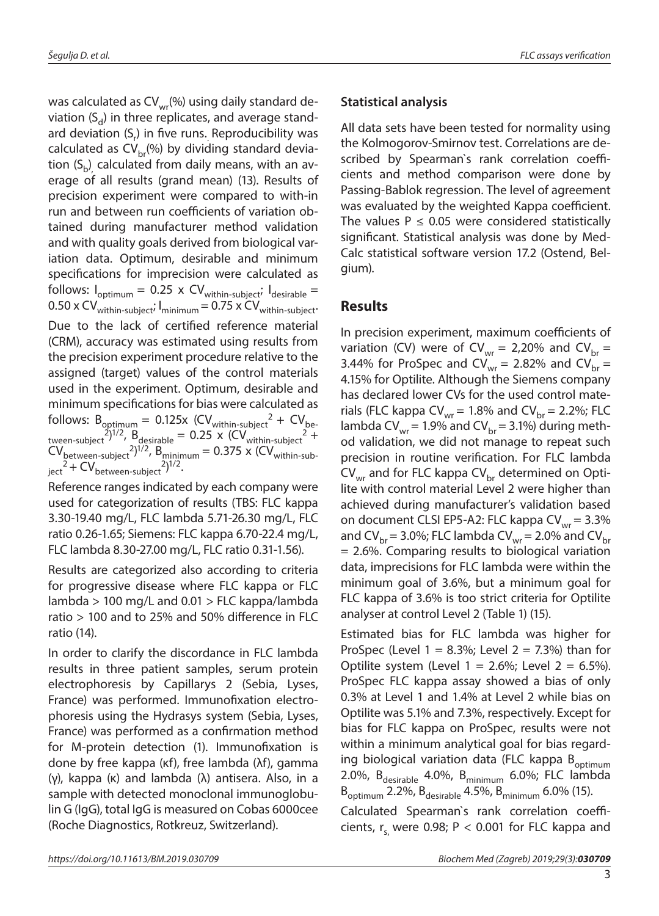was calculated as  $CV_{wr}(%)$  using daily standard deviation  $(S_d)$  in three replicates, and average standard deviation (S<sub>r</sub>) in five runs. Reproducibility was calculated as  $CV<sub>br</sub>(%)$  by dividing standard deviation  $(\mathsf{S}_\mathsf{b})$  calculated from daily means, with an average of all results (grand mean) (13). Results of precision experiment were compared to with-in run and between run coefficients of variation obtained during manufacturer method validation and with quality goals derived from biological variation data. Optimum, desirable and minimum specifications for imprecision were calculated as follows:  $I_{\text{optimum}} = 0.25 \times CV_{\text{within-subject}}$ ;  $I_{\text{desirable}} =$  $0.50 \times \text{CV}_{within-subject}$ ;  $I_{minimum} = 0.75 \times \text{CV}_{within-subject}$ ; Due to the lack of certified reference material (CRM), accuracy was estimated using results from the precision experiment procedure relative to the assigned (target) values of the control materials used in the experiment. Optimum, desirable and minimum specifications for bias were calculated as follows:  $B_{\text{optimum}} = 0.125x$  (CV<sub>within-subject</sub>  $2 + CV_{\text{be}}$ tween-subject<sup>2</sup>)<sup>1/2</sup>,  $B_{\text{desirable}} = 0.25 \times (CV_{\text{within-subject}}^2 +$  $CV_{between-subject}$  <sup>2</sup>)<sup>1/2</sup>, B<sub>minimum</sub> = 0.375 x (CV<sub>within-sub-</sub>  $\text{ject}^2 + \text{CV}_{\text{between-subject}}^2$ <sup>2</sup>)<sup>1/2</sup>.

Reference ranges indicated by each company were used for categorization of results (TBS: FLC kappa 3.30-19.40 mg/L, FLC lambda 5.71-26.30 mg/L, FLC ratio 0.26-1.65; Siemens: FLC kappa 6.70-22.4 mg/L, FLC lambda 8.30-27.00 mg/L, FLC ratio 0.31-1.56).

Results are categorized also according to criteria for progressive disease where FLC kappa or FLC lambda > 100 mg/L and 0.01 > FLC kappa/lambda ratio > 100 and to 25% and 50% difference in FLC ratio (14).

In order to clarify the discordance in FLC lambda results in three patient samples, serum protein electrophoresis by Capillarys 2 (Sebia, Lyses, France) was performed. Immunofixation electrophoresis using the Hydrasys system (Sebia, Lyses, France) was performed as a confirmation method for M-protein detection (1). Immunofixation is done by free kappa (ĸf), free lambda (λf), gamma (γ), kappa (ĸ) and lambda (λ) antisera. Also, in a sample with detected monoclonal immunoglobulin G (IgG), total IgG is measured on Cobas 6000cee (Roche Diagnostics, Rotkreuz, Switzerland).

#### **Statistical analysis**

All data sets have been tested for normality using the Kolmogorov-Smirnov test. Correlations are described by Spearman`s rank correlation coefficients and method comparison were done by Passing-Bablok regression. The level of agreement was evaluated by the weighted Kappa coefficient. The values  $P \le 0.05$  were considered statistically significant. Statistical analysis was done by Med-Calc statistical software version 17.2 (Ostend, Belgium).

#### **Results**

In precision experiment, maximum coefficients of variation (CV) were of CV<sub>wr</sub> = 2,20% and CV<sub>br</sub> = 3.44% for ProSpec and CV<sub>wr</sub> = 2.82% and CV<sub>br</sub> = 4.15% for Optilite. Although the Siemens company has declared lower CVs for the used control materials (FLC kappa  $CV<sub>wr</sub> = 1.8%$  and  $CV<sub>br</sub> = 2.2%; FLC$ lambda CV<sub>wr</sub> = 1.9% and CV<sub>br</sub> = 3.1%) during method validation, we did not manage to repeat such precision in routine verification. For FLC lambda  $CV<sub>wr</sub>$  and for FLC kappa  $CV<sub>br</sub>$  determined on Optilite with control material Level 2 were higher than achieved during manufacturer's validation based on document CLSI EP5-A2: FLC kappa  $CV<sub>wr</sub> = 3.3%$ and CV<sub>br</sub> = 3.0%; FLC lambda CV<sub>wr</sub> = 2.0% and CV<sub>br</sub> = 2.6%. Comparing results to biological variation data, imprecisions for FLC lambda were within the minimum goal of 3.6%, but a minimum goal for FLC kappa of 3.6% is too strict criteria for Optilite analyser at control Level 2 (Table 1) (15).

Estimated bias for FLC lambda was higher for ProSpec (Level  $1 = 8.3\%$ ; Level  $2 = 7.3\%$ ) than for Optilite system (Level  $1 = 2.6\%$ ; Level  $2 = 6.5\%$ ). ProSpec FLC kappa assay showed a bias of only 0.3% at Level 1 and 1.4% at Level 2 while bias on Optilite was 5.1% and 7.3%, respectively. Except for bias for FLC kappa on ProSpec, results were not within a minimum analytical goal for bias regarding biological variation data (FLC kappa B<sub>optimum</sub> 2.0%,  $B_{\text{desirable}}$  4.0%,  $B_{\text{minimum}}$  6.0%; FLC lambda  $B_{\text{optimum}}$  2.2%,  $B_{\text{desirable}}$  4.5%,  $B_{\text{minimum}}$  6.0% (15).

Calculated Spearman`s rank correlation coefficients,  $r_s$  were 0.98; P < 0.001 for FLC kappa and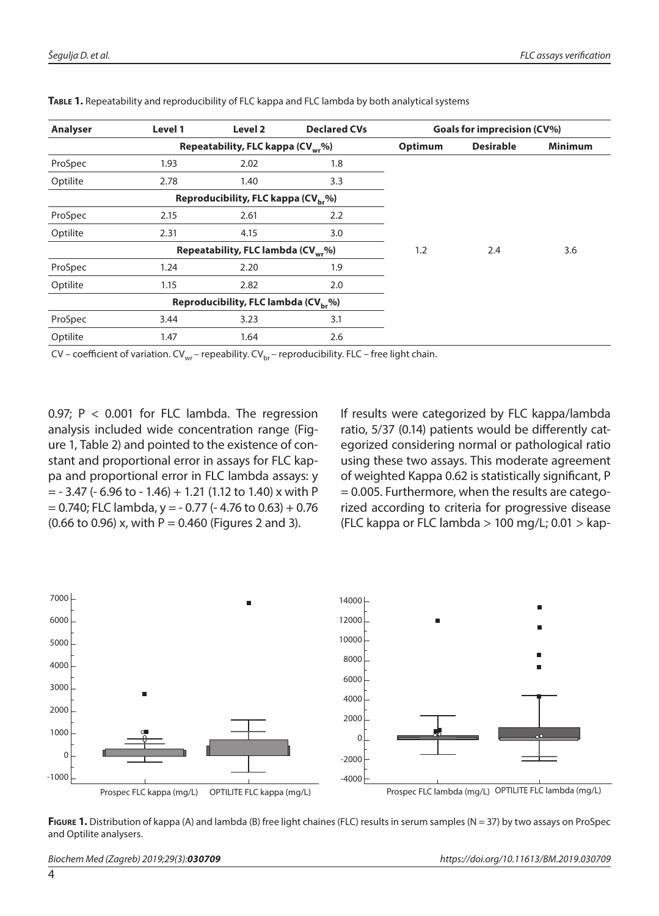| <b>Analyser</b> | Level 1 | Level 2                                          | <b>Declared CVs</b> | Goals for imprecision (CV%) |                  |                |
|-----------------|---------|--------------------------------------------------|---------------------|-----------------------------|------------------|----------------|
|                 |         | Repeatability, FLC kappa (CV <sub>wr</sub> %)    |                     | Optimum                     | <b>Desirable</b> | <b>Minimum</b> |
| ProSpec         | 1.93    | 2.02                                             | 1.8                 |                             |                  |                |
| Optilite        | 2.78    | 1.40                                             | 3.3                 |                             |                  |                |
|                 |         | Reproducibility, FLC kappa (CV <sub>br</sub> %)  |                     |                             |                  |                |
| ProSpec         | 2.15    | 2.61                                             | 2.2                 |                             |                  |                |
| Optilite        | 2.31    | 4.15                                             | 3.0                 |                             |                  |                |
|                 |         | Repeatability, FLC lambda (CV <sub>wr</sub> %)   |                     | 1.2                         | 2.4              | 3.6            |
| ProSpec         | 1.24    | 2.20                                             | 1.9                 |                             |                  |                |
| Optilite        | 1.15    | 2.82                                             | 2.0                 |                             |                  |                |
|                 |         | Reproducibility, FLC lambda (CV <sub>br</sub> %) |                     |                             |                  |                |
| ProSpec         | 3.44    | 3.23                                             | 3.1                 |                             |                  |                |
| Optilite        | 1.47    | 1.64                                             | 2.6                 |                             |                  |                |

**Table 1.** Repeatability and reproducibility of FLC kappa and FLC lambda by both analytical systems

CV – coefficient of variation. CV<sub>wr</sub> – repeability. CV<sub>br</sub> – reproducibility. FLC – free light chain.

0.97; P < 0.001 for FLC lambda. The regression analysis included wide concentration range (Figure 1, Table 2) and pointed to the existence of constant and proportional error in assays for FLC kappa and proportional error in FLC lambda assays: y  $=$  - 3.47 (- 6.96 to - 1.46) + 1.21 (1.12 to 1.40) x with P  $= 0.740$ ; FLC lambda, y = - 0.77 (- 4.76 to 0.63) + 0.76  $(0.66 \text{ to } 0.96)$  x, with P = 0.460 (Figures 2 and 3).

If results were categorized by FLC kappa/lambda ratio, 5/37 (0.14) patients would be differently categorized considering normal or pathological ratio using these two assays. This moderate agreement of weighted Kappa 0.62 is statistically significant, P = 0.005. Furthermore, when the results are categorized according to criteria for progressive disease (FLC kappa or FLC lambda  $> 100$  mg/L; 0.01  $>$  kap-



**Figure 1.** Distribution of kappa (A) and lambda (B) free light chaines (FLC) results in serum samples (N = 37) by two assays on ProSpec and Optilite analysers.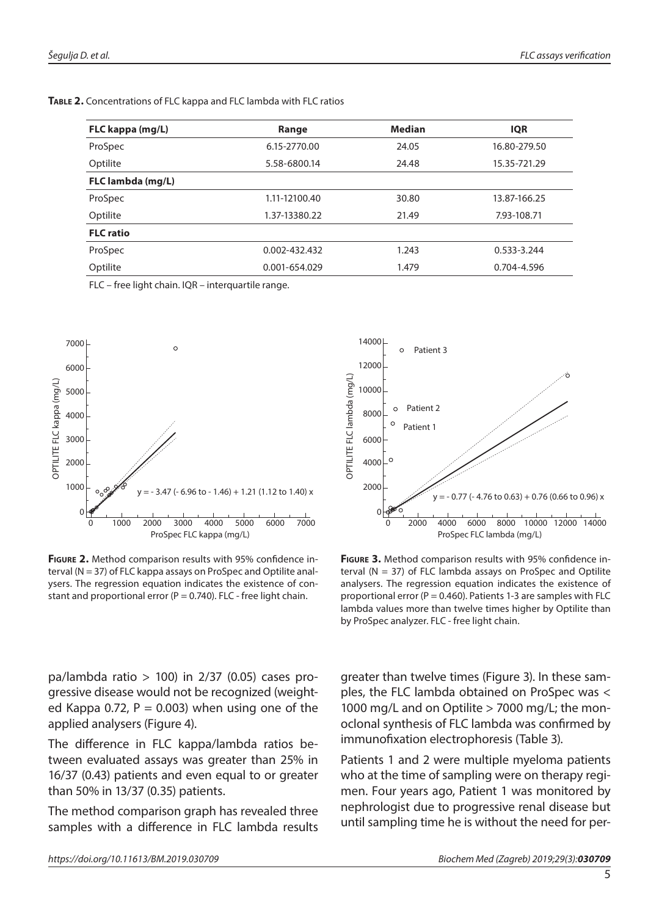**Table 2.** Concentrations of FLC kappa and FLC lambda with FLC ratios

| Range         | <b>Median</b> | <b>IQR</b>   |
|---------------|---------------|--------------|
| 6.15-2770.00  | 24.05         | 16.80-279.50 |
| 5.58-6800.14  | 24.48         | 15.35-721.29 |
|               |               |              |
| 1.11-12100.40 | 30.80         | 13.87-166.25 |
| 1.37-13380.22 | 21.49         | 7.93-108.71  |
|               |               |              |
| 0.002-432.432 | 1.243         | 0.533-3.244  |
| 0.001-654.029 | 1.479         | 0.704-4.596  |
|               |               |              |

FLC – free light chain. IQR – interquartile range.



**Figure 2.** Method comparison results with 95% confidence interval (N = 37) of FLC kappa assays on ProSpec and Optilite analysers. The regression equation indicates the existence of constant and proportional error ( $P = 0.740$ ). FLC - free light chain.



**FIGURE 3.** Method comparison results with 95% confidence interval ( $N = 37$ ) of FLC lambda assays on ProSpec and Optilite analysers. The regression equation indicates the existence of proportional error ( $P = 0.460$ ). Patients 1-3 are samples with FLC lambda values more than twelve times higher by Optilite than by ProSpec analyzer. FLC - free light chain.

pa/lambda ratio  $> 100$ ) in 2/37 (0.05) cases progressive disease would not be recognized (weighted Kappa 0.72,  $P = 0.003$ ) when using one of the applied analysers (Figure 4).

The difference in FLC kappa/lambda ratios between evaluated assays was greater than 25% in 16/37 (0.43) patients and even equal to or greater than 50% in 13/37 (0.35) patients.

The method comparison graph has revealed three samples with a difference in FLC lambda results greater than twelve times (Figure 3). In these samples, the FLC lambda obtained on ProSpec was < 1000 mg/L and on Optilite > 7000 mg/L; the monoclonal synthesis of FLC lambda was confirmed by immunofixation electrophoresis (Table 3).

Patients 1 and 2 were multiple myeloma patients who at the time of sampling were on therapy regimen. Four years ago, Patient 1 was monitored by nephrologist due to progressive renal disease but until sampling time he is without the need for per-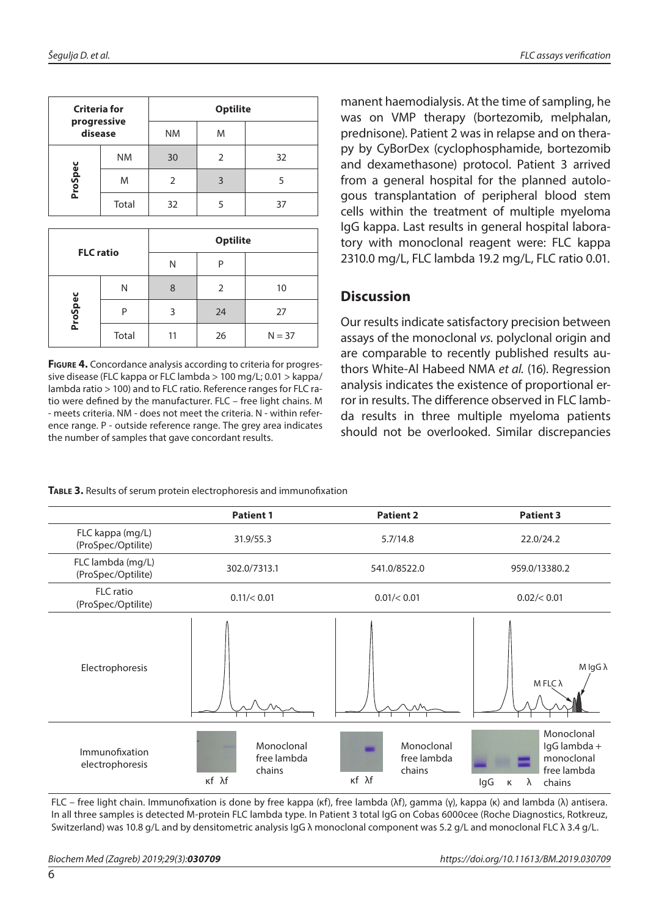| <b>Criteria for</b><br>progressive<br>disease |           | <b>Optilite</b> |   |    |  |
|-----------------------------------------------|-----------|-----------------|---|----|--|
|                                               |           | <b>NM</b>       | M |    |  |
|                                               | <b>NM</b> | 30              | 2 | 32 |  |
| ProSpec                                       | M         |                 | 3 |    |  |
|                                               | Total     | 32              |   | 37 |  |

| <b>FLC</b> ratio |       | <b>Optilite</b> |    |          |  |
|------------------|-------|-----------------|----|----------|--|
|                  |       | Ν               | D  |          |  |
| ProSpec          | Ν     | 8               | 2  | 10       |  |
|                  | P     | 3               | 24 | 27       |  |
|                  | Total | 11              | 26 | $N = 37$ |  |

**Figure 4.** Concordance analysis according to criteria for progressive disease (FLC kappa or FLC lambda > 100 mg/L; 0.01 > kappa/ lambda ratio > 100) and to FLC ratio. Reference ranges for FLC ratio were defined by the manufacturer. FLC – free light chains. M - meets criteria. NM - does not meet the criteria. N - within reference range. P - outside reference range. The grey area indicates the number of samples that gave concordant results.

manent haemodialysis. At the time of sampling, he was on VMP therapy (bortezomib, melphalan, prednisone). Patient 2 was in relapse and on therapy by CyBorDex (cyclophosphamide, bortezomib and dexamethasone) protocol. Patient 3 arrived from a general hospital for the planned autologous transplantation of peripheral blood stem cells within the treatment of multiple myeloma IgG kappa. Last results in general hospital laboratory with monoclonal reagent were: FLC kappa 2310.0 mg/L, FLC lambda 19.2 mg/L, FLC ratio 0.01.

## **Discussion**

Our results indicate satisfactory precision between assays of the monoclonal *vs.* polyclonal origin and are comparable to recently published results authors White-Al Habeed NMA *et al.* (16). Regression analysis indicates the existence of proportional error in results. The difference observed in FLC lambda results in three multiple myeloma patients should not be overlooked. Similar discrepancies

|                                         | <b>Patient 1</b>                             | <b>Patient 2</b>                             | <b>Patient 3</b>                                                                   |  |
|-----------------------------------------|----------------------------------------------|----------------------------------------------|------------------------------------------------------------------------------------|--|
| FLC kappa (mg/L)<br>(ProSpec/Optilite)  | 31.9/55.3                                    | 5.7/14.8                                     | 22.0/24.2                                                                          |  |
| FLC lambda (mg/L)<br>(ProSpec/Optilite) | 302.0/7313.1                                 | 541.0/8522.0                                 | 959.0/13380.2                                                                      |  |
| <b>FLC</b> ratio<br>(ProSpec/Optilite)  | 0.11/< 0.01                                  | 0.01/< 0.01                                  | 0.02 / < 0.01                                                                      |  |
| Electrophoresis                         |                                              |                                              | $M$ lgG $\lambda$<br><b>M</b> FLC λ                                                |  |
| Immunofixation<br>electrophoresis       | Monoclonal<br>free lambda<br>chains<br>κf λf | Monoclonal<br>free lambda<br>chains<br>κf λf | Monoclonal<br>IgG lambda +<br>monoclonal<br>free lambda<br>lgG<br>λ<br>chains<br>Κ |  |

**Table 3.** Results of serum protein electrophoresis and immunofixation

FLC – free light chain. Immunofixation is done by free kappa (ĸf), free lambda (λf), gamma (γ), kappa (ĸ) and lambda (λ) antisera. In all three samples is detected M-protein FLC lambda type. In Patient 3 total IgG on Cobas 6000cee (Roche Diagnostics, Rotkreuz, Switzerland) was 10.8 g/L and by densitometric analysis IgG λ monoclonal component was 5.2 g/L and monoclonal FLC λ 3.4 g/L.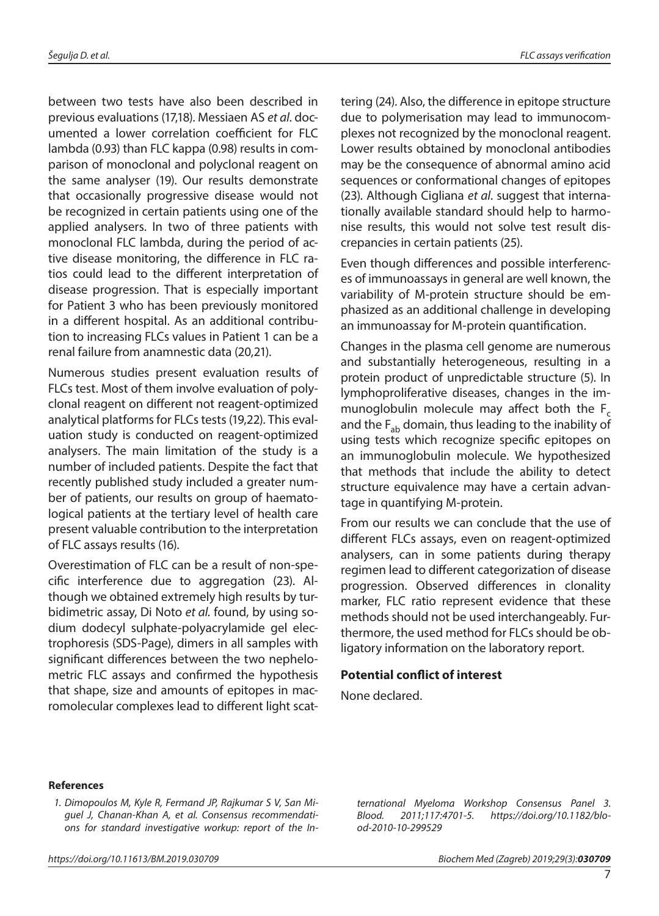between two tests have also been described in previous evaluations (17,18). Messiaen AS *et al*. documented a lower correlation coefficient for FLC lambda (0.93) than FLC kappa (0.98) results in comparison of monoclonal and polyclonal reagent on the same analyser (19). Our results demonstrate that occasionally progressive disease would not be recognized in certain patients using one of the applied analysers. In two of three patients with monoclonal FLC lambda, during the period of active disease monitoring, the difference in FLC ratios could lead to the different interpretation of disease progression. That is especially important for Patient 3 who has been previously monitored in a different hospital. As an additional contribution to increasing FLCs values in Patient 1 can be a renal failure from anamnestic data (20,21).

Numerous studies present evaluation results of FLCs test. Most of them involve evaluation of polyclonal reagent on different not reagent-optimized analytical platforms for FLCs tests (19,22). This evaluation study is conducted on reagent-optimized analysers. The main limitation of the study is a number of included patients. Despite the fact that recently published study included a greater number of patients, our results on group of haematological patients at the tertiary level of health care present valuable contribution to the interpretation of FLC assays results (16).

Overestimation of FLC can be a result of non-specific interference due to aggregation (23). Although we obtained extremely high results by turbidimetric assay, Di Noto *et al.* found, by using sodium dodecyl sulphate-polyacrylamide gel electrophoresis (SDS-Page), dimers in all samples with significant differences between the two nephelometric FLC assays and confirmed the hypothesis that shape, size and amounts of epitopes in macromolecular complexes lead to different light scattering (24). Also, the difference in epitope structure due to polymerisation may lead to immunocomplexes not recognized by the monoclonal reagent. Lower results obtained by monoclonal antibodies may be the consequence of abnormal amino acid sequences or conformational changes of epitopes (23). Although Cigliana *et al*. suggest that internationally available standard should help to harmonise results, this would not solve test result discrepancies in certain patients (25).

Even though differences and possible interferences of immunoassays in general are well known, the variability of M-protein structure should be emphasized as an additional challenge in developing an immunoassay for M-protein quantification.

Changes in the plasma cell genome are numerous and substantially heterogeneous, resulting in a protein product of unpredictable structure (5). In lymphoproliferative diseases, changes in the immunoglobulin molecule may affect both the  $F_c$ and the  $F_{ab}$  domain, thus leading to the inability of using tests which recognize specific epitopes on an immunoglobulin molecule. We hypothesized that methods that include the ability to detect structure equivalence may have a certain advantage in quantifying M-protein.

From our results we can conclude that the use of different FLCs assays, even on reagent-optimized analysers, can in some patients during therapy regimen lead to different categorization of disease progression. Observed differences in clonality marker, FLC ratio represent evidence that these methods should not be used interchangeably. Furthermore, the used method for FLCs should be obligatory information on the laboratory report.

#### **Potential conflict of interest**

None declared.

#### **References**

*1. Dimopoulos M, Kyle R, Fermand JP, Rajkumar S V, San Miguel J, Chanan-Khan A, et al. Consensus recommendations for standard investigative workup: report of the In-* *ternational Myeloma Workshop Consensus Panel 3. Blood. 2011;117:4701-5. https://doi.org/10.1182/blood-2010-10-299529*